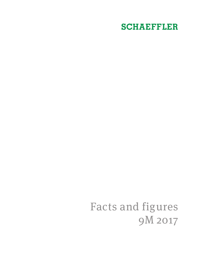## **SCHAEFFLER**

# Facts and figures 9M 2017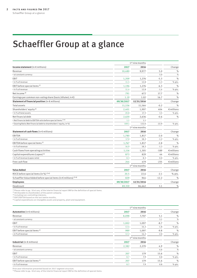# <span id="page-1-0"></span>Schaeffler Group at a glance

|                                                                              | 1 <sup>st</sup> nine months |            |         |                     |
|------------------------------------------------------------------------------|-----------------------------|------------|---------|---------------------|
| Income statement (in $\epsilon$ millions)                                    | 2017                        | 2016       |         | Change              |
| Revenue                                                                      | 10,480                      | 9,977      | 5.0     | $\%$                |
| • at constant currency                                                       |                             |            | 5.0     | $\%$                |
| EBIT                                                                         | 1,209                       | 1,276      | $-5.3$  | $\%$                |
| • in % of revenue                                                            | 11.5                        | 12.8       | $-1.3$  | %-pts.              |
| EBIT before special items <sup>1)</sup>                                      | 1,196                       | 1,276      | $-6.3$  | $\%$                |
| • in % of revenue                                                            | 11.4                        | 12.8       | $-1.4$  | %-pts.              |
| Net income <sup>2)</sup>                                                     | 791                         | 672        | 17.7    | %                   |
| Earnings per common non-voting share (basic/diluted, in $\epsilon$ )         | 1.19                        | 1.02       | 16.7    | %                   |
| Statement of financial position (in $\epsilon$ millions)                     | 09/30/2017                  | 12/31/2016 |         | Change              |
| <b>Total assets</b>                                                          | 11,536                      | 11,564     | $-0.2$  | %                   |
| Shareholders' equity <sup>3)</sup>                                           | 2,401                       | 1,997      | 404     | $\epsilon$ millions |
| • in % of total assets                                                       | 20.8                        | 17.3       | 3.5     | %-pts.              |
| Net financial debt                                                           | 2,620                       | 2,636      | $-0.6$  | $\%$                |
| • Net financial debt to EBITDA ratio before special items <sup>1) 4)</sup>   | 1.1                         | 1.1        |         |                     |
| · Gearing Ratio (Net financial debt to shareholders' equity, in %)           | 109.1                       | 132.0      | $-22.9$ | %-pts.              |
|                                                                              | $1st$ nine months           |            |         |                     |
| Statement of cash flows (in $\epsilon$ millions)                             | 2017                        | 2016       |         | Change              |
| EBITDA                                                                       | 1,780                       | 1,817      | $-2.0$  | %                   |
| • in % of revenue                                                            | 17.0                        | 18.2       | $-1.2$  | %-pts.              |
| EBITDA before special items <sup>1)</sup>                                    | 1,767                       | 1,817      | $-2.8$  | $\%$                |
| • in % of revenue                                                            | 16.9                        | 18.2       | $-1.3$  | $%$ -pts.           |
| Cash flows from operating activities                                         | 1,116                       | 1,305      | $-189$  | $\epsilon$ millions |
| Capital expenditures (capex) 5)                                              | 873                         | 829        | 44      | $\epsilon$ millions |
| • in % of revenue (capex ratio)                                              | 8.3                         | 8.3        | 0.0     | %-pts.              |
| Free cash flow                                                               | 244                         | 479        | $-235$  | $\epsilon$ millions |
|                                                                              | 1 <sup>st</sup> nine months |            |         |                     |
| <b>Value Added</b>                                                           | 2017                        | 2016       |         | Change              |
| ROCE before special items (in %) <sup>1)4)</sup>                             | 20.5                        | 22.6       | $-2.1$  | %-pts.              |
| Schaeffler Value Added before special items (in € millions) <sup>1)</sup> 4) | 829                         | 944        | $-12.2$ | $\frac{0}{0}$       |
| <b>Employees</b>                                                             | 09/30/2017                  | 12/31/2016 |         | Change              |
| Headcount                                                                    | 89,359                      | 86,662     | 3.1     | %                   |

<sup>1)</sup> Please refer to pp. 18 et seq. of the interim financial report 9M for the definition of special items.<br><sup>2)</sup> Attributable to shareholders of the parent company.<br><sup>3)</sup> Including non-controlling interests.<br><sup>4)</sup> EBIT/EBITD

5) Capital expenditures on intangible assets and property, plant and equipment.

|                                         |       | 1 <sup>st</sup> nine months |        |               |  |
|-----------------------------------------|-------|-----------------------------|--------|---------------|--|
| Automotive (in $\epsilon$ millions)     | 2017  | 2016                        |        | Change        |  |
| Revenue                                 | 8,098 | 7,707                       | 5.1    | $\frac{1}{c}$ |  |
| • at constant currency                  |       |                             | 5.1    | $\frac{0}{c}$ |  |
| EBIT                                    | 1,002 | 1,097                       | $-8.7$ | $\frac{1}{c}$ |  |
| • in % of revenue                       | 12.4  | 14.2                        | $-1.8$ | $% -pts$ .    |  |
| EBIT before special items <sup>1)</sup> | 989   | 1,097                       | $-9.8$ | $\frac{1}{c}$ |  |
| • in % of revenue                       | 12.2  | 14.2                        | $-2.0$ | $% -pts.$     |  |
|                                         |       | $1st$ nine months           |        |               |  |
| Industrial (in $\epsilon$ millions)     | 2017  | 2016                        |        | Change        |  |
| Revenue                                 | 2,382 | 2,270                       | 4.9    | $\frac{1}{c}$ |  |
| • at constant currency                  |       |                             | 4.6    | $\frac{0}{c}$ |  |
| EBIT                                    | 207   | 179                         | 15.6   | $\frac{1}{c}$ |  |
| • in % of revenue                       | 8.7   | 7.9                         | 0.8    | $% -pts.$     |  |
| EBIT before special items <sup>1)</sup> | 207   | 179                         | 15.6   | %             |  |
| • in % of revenue                       | 8.7   | 7.9                         | 0.8    | $% -pts.$     |  |

Prior year information presented based on 2017 segment structure. 1) Please refer to pp. 18 et seq. of the interim financial report 9M for the definition of special items.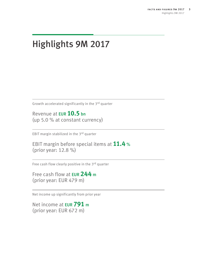# <span id="page-2-0"></span>Highlights 9M 2017

Growth accelerated significantly in the 3rd quarter

Revenue at EUR **10.5** bn (up 5.0 % at constant currency)

EBIT margin stabilized in the 3rd quarter

EBIT margin before special items at **11.4** % (prior year: 12.8 %)

Free cash flow clearly positive in the 3rd quarter

Free cash flow at EUR **244**<sup>m</sup> (prior year: EUR 479 m)

Net income up significantly from prior year

Net income at **EUR 791** m (prior year: EUR 672 m)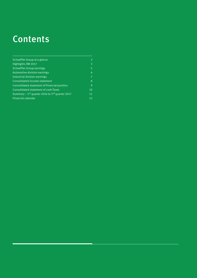# **Contents**

| Schaeffler Group at a glance                                            | $\overline{2}$ |
|-------------------------------------------------------------------------|----------------|
| Highlights 9M 2017                                                      | 3              |
| <b>Schaeffler Group earnings</b>                                        | 5              |
| Automotive division earnings                                            | 6              |
| Industrial division earnings                                            | 7              |
| Consolidated income statement                                           | 8              |
| Consolidated statement of financial position                            | 9              |
| Consolidated statement of cash flows                                    | 10             |
| Summary $-1$ <sup>st</sup> quarter 2016 to 3 <sup>rd</sup> quarter 2017 | 11             |
| Financial calendar                                                      | 12             |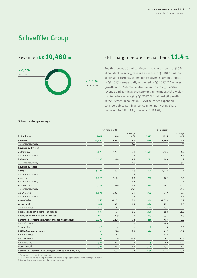## Schaeffler Group



## Revenue EUR **10,480**<sup>m</sup> EBIT margin before special items **11.4** %

<span id="page-4-0"></span>Positive revenue trend continued – revenue growth at 5.0 % at constant currency; revenue increase in Q3 2017 plus 7.4 % at constant currency // Temporary adverse earnings impacts in Q2 2017 were partially recovered in Q3 2017 // Business growth in the Automotive division in Q3 2017 // Positive revenue and earnings development in the Industrial division continued – encouraging Q3 2017 // Double-digit growth in the Greater China region // R&D activities expanded considerably // Earnings per common non-voting share increased to EUR 1.19 (prior year: EUR 1.02).

### Schaeffler Group earnings

|                                                                      |          | 1 <sup>st</sup> nine months |                |              | 3rd quarter  |                |
|----------------------------------------------------------------------|----------|-----------------------------|----------------|--------------|--------------|----------------|
| in $\epsilon$ millions                                               | 2017     | 2016                        | Change<br>in % | 2017         | 2016         | Change<br>in % |
| Revenue                                                              | 10,480   | 9,977                       | 5.0            | 3,434        | 3,265        | 5.2            |
| • at constant currency                                               |          |                             | 5.0            |              |              | 7.4            |
| <b>Revenue by division</b>                                           |          |                             |                |              |              |                |
| Automotive                                                           | 8,098    | 7,707                       | 5.1            | 2,643        | 2,525        | 4.7            |
| • at constant currency                                               |          |                             | 5.1            |              |              | 6.9            |
| Industrial                                                           | 2,382    | 2,270                       | 4.9            | 791          | 740          | 6.9            |
| • at constant currency                                               |          |                             | 4.6            |              |              | 9.2            |
| Revenue by region <sup>1)</sup>                                      |          |                             |                |              |              |                |
| Europe                                                               | 5,424    | 5,402                       | 0.4            | 1,760        | 1,723        | 2.1            |
| • at constant currency                                               |          |                             | 0.2            |              |              | 2.5            |
| Americas                                                             | 2,225    | 2,120                       | 5.0            | 702          | 702          | 0.0            |
| • at constant currency                                               |          |                             | 3.8            |              |              | 3.4            |
| Greater China                                                        | 1,735    | 1,430                       | 21.3           | 610          | 491          | 24.2           |
| • at constant currency                                               |          |                             | 24.7           |              |              | 30.3           |
| Asia/Pacific                                                         | 1,096    | 1,025                       | 6.9            | 362          | 349          | 3.7            |
| • at constant currency                                               |          |                             | 6.2            |              |              | 8.7            |
| Cost of sales                                                        | $-7,563$ | $-7,125$                    | 6.1            | $-2,470$     | $-2,333$     | 5.9            |
| <b>Gross profit</b>                                                  | 2,917    | 2,852                       | 2.3            | 964          | 932          | 3.4            |
| • in % of revenue                                                    | 27.8     | 28.6                        |                | 28.1         | 28.5         |                |
| Research and development expenses                                    | $-637$   | $-566$                      | 12.5           | $-209$       | $-188$       | 11.2           |
| Selling and administrative expenses                                  | $-1,052$ | $-999$                      | 5.3            | $-337$       | $-331$       | 1.8            |
| Earnings before financial result and income taxes (EBIT)             | 1,209    | 1,276                       | $-5.3$         | 416          | 417          | $-0.2$         |
| • in % of revenue                                                    | 11.5     | 12.8                        |                | 12.1         | 12.8         |                |
| Special items <sup>2)</sup>                                          | $-13$    | $\mathbf{0}$                |                | $\mathbf{0}$ | $\mathbf{0}$ | 0.0            |
| <b>EBIT before special items</b>                                     | 1,196    | 1,276                       | $-6.3$         | 416          | 417          | $-0.2$         |
| • in % of revenue                                                    | 11.4     | 12.8                        |                | 12.1         | 12.8         |                |
| <b>Financial result</b>                                              | $-104$   | $-320$                      | $-67.5$        | $-1$         | $-167$       | $-99.4$        |
| Income taxes                                                         | $-301$   | $-275$                      | 9.5            | $-105$       | $-69$        | 52.2           |
| Net income $3$ )                                                     | 791      | 672                         | 17.7           | 306          | 178          | 71.9           |
| Earnings per common non-voting share (basic/diluted, in $\epsilon$ ) | 1.19     | 1.02                        | 16.7           | 0.46         | 0.27         | 70.4           |

<sup>1)</sup> Based on market (customer location).

2) Please refer to pp. 18 et seq. of the interim financial report 9M for the definition of special items.

3) Attributable to shareholders of the parent company.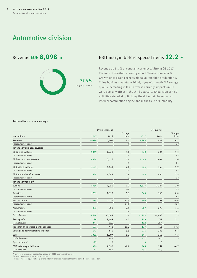## <span id="page-5-0"></span>Automotive division



## Revenue EUR **8,098**<sup>m</sup> EBIT margin before special items **12.2** %

Revenue up 5.1 % at constant currency // Strong Q3 2017: Revenue at constant currency up 6.9 % over prior year // Growth once again exceeds global automobile production // China business maintains highly dynamic growth // Earnings quality increasing in Q3 – adverse earnings impacts in Q2 were partially offset in the third quarter // Expansion of R&D activities aimed at optimizing the drive train based on an internal combustion engine and in the field of E-mobility

### Automotive division earnings

|                                     |          | 1 <sup>st</sup> nine months |        |                | 3rd quarter  |                          |  |  |
|-------------------------------------|----------|-----------------------------|--------|----------------|--------------|--------------------------|--|--|
|                                     |          |                             | Change |                |              | Change                   |  |  |
| in $\epsilon$ millions              | 2017     | 2016                        | in $%$ | 2017           | 2016         | in %                     |  |  |
| Revenue                             | 8,098    | 7,707                       | 5.1    | 2,643          | 2,525        | 4.7                      |  |  |
| · at constant currency              |          |                             | 5.1    |                |              | 6.9                      |  |  |
| Revenue by business division        |          |                             |        |                |              |                          |  |  |
| <b>BD Engine Systems</b>            | 2,069    | 1,960                       | 5.6    | 670            | 636          | 5.3                      |  |  |
| · at constant currency              |          |                             | 5.9    |                |              | 8.3                      |  |  |
| <b>BD Transmission Systems</b>      | 3,428    | 3,216                       | 6.6    | 1,095          | 1,037        | 5.6                      |  |  |
| · at constant currency              |          |                             | 6.9    |                |              | 8.1                      |  |  |
| <b>BD Chassis Systems</b>           | 1,173    | 1,143                       | 2.6    | 375            | 368          | 1.9                      |  |  |
| • at constant currency              |          |                             | 2.5    |                |              | 4.2                      |  |  |
| <b>BD Automotive Aftermarket</b>    | 1,428    | 1,388                       | 2.9    | 503            | 484          | 3.9                      |  |  |
| • at constant currency              |          |                             | 2.2    |                |              | 4.8                      |  |  |
| Revenue by region <sup>1)</sup>     |          |                             |        |                |              |                          |  |  |
| Europe                              | 4,056    | 4,050                       | 0.1    | 1,313          | 1,287        | 2.0                      |  |  |
| · at constant currency              |          |                             | 0.0    |                |              | 2.3                      |  |  |
| Americas                            | 1,785    | 1,698                       | 5.1    | 563            | 563          | 0.0                      |  |  |
| · at constant currency              |          |                             | 4.1    |                |              | 3.3                      |  |  |
| Greater China                       | 1,385    | 1,151                       | 20.3   | 480            | 398          | 20.6                     |  |  |
| · at constant currency              |          |                             | 23.8   |                |              | 26.3                     |  |  |
| Asia/Pacific                        | 872      | 808                         | 7.9    | 287            | 277          | 3.6                      |  |  |
| · at constant currency              |          |                             | 7.4    |                |              | 8.5                      |  |  |
| Cost of sales                       | $-5,874$ | $-5,509$                    | 6.6    | $-1,904$       | $-1,808$     | 5.3                      |  |  |
| <b>Gross profit</b>                 | 2,224    | 2,198                       | 1.2    | 739            | 717          | 3.1                      |  |  |
| · in % of revenue                   | 27.5     | 28.5                        |        | 28.0           | 28.4         |                          |  |  |
| Research and development expenses   | $-537$   | $-462$                      | 16.2   | $-177$         | $-151$       | 17.2                     |  |  |
| Selling and administrative expenses | $-677$   | $-616$                      | 9.9    | $-216$         | $-203$       | 6.4                      |  |  |
| EBIT                                | 1,002    | 1,097                       | $-8.7$ | 345            | 362          | $-4.7$                   |  |  |
| · in% of revenue                    | 12.4     | 14.2                        |        | 13.1           | 14.3         |                          |  |  |
| Special items <sup>2)</sup>         | $-13$    | $\mathbf{0}$                |        | $\overline{0}$ | $\mathbf{0}$ |                          |  |  |
| <b>EBIT before special items</b>    | 989      | 1,097                       | $-9.8$ | 345            | 362          | $-4.7$                   |  |  |
| · in% of revenue                    | 12.2     | 14.2                        |        | 13.1           | 14.3         | $\overline{\phantom{a}}$ |  |  |

Prior year information presented based on 2017 segment structure.

<sup>1)</sup> Based on market (customer location).<br><sup>2)</sup> Please refer to pp. 18 et seq. of the interim financial report 9M for the definition of special items.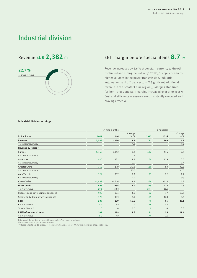## Industrial division

# **22.7 %** of group revenue

## Revenue EUR **2,382**<sup>m</sup> EBIT margin before special items **8.7** %

<span id="page-6-0"></span>Revenue increases by 4.6 % at constant currency // Growth continued and strengthened in Q3 2017 // Largely driven by higher volumes in the power transmission, industrial automation, and offroad sectors // Significant additional revenue in the Greater China region // Margins stabilized further – gross and EBIT margins increased over prior year // Cost and efficiency measures are consistently executed and proving effective

### Industrial division earnings

|                                     | 1 <sup>st</sup> nine months |              | 3rd quarter              |              |              |                  |
|-------------------------------------|-----------------------------|--------------|--------------------------|--------------|--------------|------------------|
| in $\epsilon$ millions              | 2017                        | 2016         | Change<br>in $%$         | 2017         | 2016         | Change<br>in $%$ |
| Revenue                             | 2,382                       | 2,270        | 4.9                      | 791          | 740          | 6.9              |
| • at constant currency              |                             |              | 4.6                      |              |              | 9.2              |
| Revenue by region <sup>1)</sup>     |                             |              |                          |              |              |                  |
| Europe                              | 1,368                       | 1,352        | 1.2                      | 447          | 436          | 2.5              |
| • at constant currency              |                             |              | 0.8                      |              |              | 3.1              |
| Americas                            | 440                         | 422          | 4.3                      | 139          | 139          | 0.0              |
| • at constant currency              |                             |              | 2.9                      |              |              | 3.4              |
| Greater China                       | 350                         | 279          | 25.4                     | 130          | 93           | 39.8             |
| • at constant currency              |                             |              | 28.3                     |              |              | 47.5             |
| Asia/Pacific                        | 224                         | 217          | 3.2                      | 75           | 72           | 4.2              |
| • at constant currency              |                             |              | 1.9                      |              |              | 9.3              |
| Cost of sales                       | $-1,689$                    | $-1,616$     | 4.5                      | $-566$       | $-525$       | 7.8              |
| <b>Gross profit</b>                 | 693                         | 654          | 6.0                      | 225          | 215          | 4.7              |
| • in % of revenue                   | 29.1                        | 28.8         | $\overline{\phantom{a}}$ | 28.4         | 29.1         |                  |
| Research and development expenses   | $-100$                      | $-104$       | $-3.8$                   | $-32$        | $-37$        | $-13.5$          |
| Selling and administrative expenses | $-375$                      | $-383$       | $-2.1$                   | $-121$       | $-128$       | $-5.5$           |
| <b>EBIT</b>                         | 207                         | 179          | 15.6                     | 71           | 55           | 29.1             |
| • in % of revenue                   | 8.7                         | 7.9          |                          | 9.0          | 7.4          |                  |
| Special items <sup>2)</sup>         | $\mathbf{0}$                | $\mathbf{0}$ | 0.0                      | $\mathbf{0}$ | $\mathbf{0}$ | 0.0              |
| <b>EBIT before special items</b>    | 207                         | 179          | 15.6                     | 71           | 55           | 29.1             |
| • in % of revenue                   | 8.7                         | 7.9          |                          | 9.0          | 7.4          |                  |

Prior year information presented based on 2017 segment structure. 1) Based on market (customer location).

2) Please refer to pp. 18 et seq. of the interim financial report 9M for the definition of special items.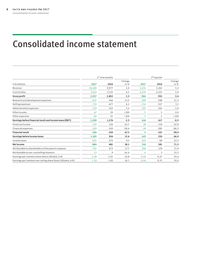# <span id="page-7-0"></span>Consolidated income statement

|                                                                      |          | 1 <sup>st</sup> nine months |                  | 3 <sup>rd</sup> quarter |          |                |  |
|----------------------------------------------------------------------|----------|-----------------------------|------------------|-------------------------|----------|----------------|--|
| in $\notin$ millions                                                 | 2017     | 2016                        | Change<br>in $%$ | 2017                    | 2016     | Change<br>in % |  |
| Revenue                                                              | 10,480   | 9,977                       | 5.0              | 3,434                   | 3,265    | 5.2            |  |
| Cost of sales                                                        | $-7,563$ | $-7,125$                    | 6.1              | $-2,470$                | $-2,333$ | 5.9            |  |
| <b>Gross profit</b>                                                  | 2,917    | 2,852                       | 2.3              | 964                     | 932      | 3.4            |  |
| Research and development expenses                                    | $-637$   | $-566$                      | 12.5             | $-209$                  | $-188$   | 11.2           |  |
| Selling expenses                                                     | $-719$   | $-677$                      | 6.2              | $-234$                  | $-227$   | 3.1            |  |
| Administrative expenses                                              | $-333$   | $-322$                      | 3.4              | $-103$                  | $-104$   | $-1.0$         |  |
| Other income                                                         | 47       | 20                          | >100             | 5                       | 5        | 0.0            |  |
| Other expenses                                                       | $-66$    | $-31$                       | >100             | $-7$                    | $-1$     | >100           |  |
| Earnings before financial result and income taxes (EBIT)             | 1,209    | 1,276                       | $-5.3$           | 416                     | 417      | $-0.2$         |  |
| <b>Financial income</b>                                              | 125      | 230                         | $-45.7$          | 38                      | 118      | $-67.8$        |  |
| <b>Financial expenses</b>                                            | $-229$   | $-550$                      | $-58.4$          | $-39$                   | $-285$   | $-86.3$        |  |
| <b>Financial result</b>                                              | $-104$   | $-320$                      | $-67.5$          | $-1$                    | $-167$   | $-99.4$        |  |
| Earnings before income taxes                                         | 1,105    | 956                         | 15.6             | 415                     | 250      | 66.0           |  |
| Income taxes                                                         | $-301$   | $-275$                      | 9.5              | $-105$                  | $-69$    | 52.2           |  |
| <b>Netincome</b>                                                     | 804      | 681                         | 18.1             | 310                     | 181      | 71.3           |  |
| Attributable to shareholders of the parent company                   | 791      | 672                         | 17.7             | 306                     | 178      | 71.9           |  |
| Attributable to non-controlling interests                            | 13       | 9                           | 44.4             | 4                       | 3        | 33.3           |  |
| Earnings per common share (basic/diluted, in $\epsilon$ )            | 1.18     | 1.01                        | 16.8             | 0.46                    | 0.27     | 70.4           |  |
| Earnings per common non-voting share (basic/diluted, in $\epsilon$ ) | 1.19     | 1.02                        | 16.7             | 0.46                    | 0.27     | 70.4           |  |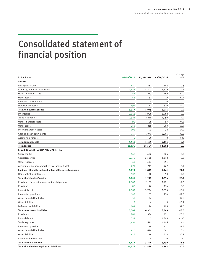# <span id="page-8-0"></span>Consolidated statement of financial position

| in $\epsilon$ millions                                    | 09/30/2017     | 12/31/2016  | 09/30/2016          | Change<br>in % |
|-----------------------------------------------------------|----------------|-------------|---------------------|----------------|
| <b>ASSETS</b>                                             |                |             |                     |                |
| Intangible assets                                         | 629            | 632         | 584                 | $-0.5$         |
| Property, plant and equipment                             | 4,625          | 4,507       | 4,319               | 2.6            |
| Other financial assets                                    | 165            | 217         | 169                 | $-24.0$        |
| Other assets                                              | 66             | 51          | 29                  | 29.4           |
| Income tax receivables                                    | $\mathbf 0$    | $\mathbf 0$ | $\mathbf 0$         | 0.0            |
| Deferred tax assets                                       | 492            | 572         | 610                 | $-14.0$        |
| <b>Total non-current assets</b>                           | 5,977          | 5,979       | 5,711               | 0.0            |
| Inventories                                               | 2,061          | 1,905       | 1,958               | 8.2            |
| Trade receivables                                         | 2,323          | 2,218       | 2,250               | 4.7            |
| Other financial assets                                    | 96             | 55          | 97                  | 74.5           |
| Other assets                                              | 254            | 218         | 203                 | 16.5           |
| Income tax receivables                                    | 106            | 93          | 78                  | 14.0           |
| Cash and cash equivalents                                 | 719            | 1,071       | 2,565               | $-32.9$        |
| Assets held for sale                                      | $\overline{0}$ | 25          | $\Omega$            | $-100$         |
| <b>Total current assets</b>                               | 5,559          | 5,585       | 7,151               | $-0.5$         |
| <b>Total assets</b>                                       | 11,536         | 11,564      | 12,862              | $-0.2$         |
| SHAREHOLDERS' EQUITY AND LIABILITIES                      |                |             |                     |                |
| Share capital                                             | 666            | 666         | 666                 | 0.0            |
| Capital reserves                                          | 2,348          | 2,348       | 2,348               | 0.0            |
| Other reserves                                            | 60             | $-404$      | $-591$              |                |
| Accumulated other comprehensive income (loss)             | $-775$         | $-713$      | $-962$              | 8.7            |
| Equity attributable to shareholders of the parent company | 2,299          | 1,897       | 1,461               | 21.2           |
| Non-controlling interests                                 | 102            | 100         | 93                  | 2.0            |
| Total shareholders' equity                                | 2,401          | 1,997       | 1,554               | 20.2           |
| Provisions for pensions and similar obligations           | 2,083          | 2,182       | 2,471               | $-4.5$         |
| Provisions                                                | 88             | 96          | 114                 | $-8.3$         |
| Financial debt                                            | 2,985          | 3,704       | 3,636               | $-19.4$        |
| Income tax payables                                       | 145            | 163         | 224                 | $-11.0$        |
| Other financial liabilities                               | 33             | 86          | 11                  | $-61.6$        |
| Other liabilities                                         | 5              | 6           | 5                   | $-16.7$        |
| Deferred tax liabilities                                  | 164            | 124         | 108                 | 32.3           |
| <b>Total non-current liabilities</b>                      | 5,503          | 6,361       | 6,569               | $-13.5$        |
| Provisions                                                | 281            | 354         | 421                 | $-20.6$        |
| Financial debt                                            | 354            | 3           | 1,805               | >100           |
| Trade payables                                            | 1,651          | 1,625       | 1,406               | 1.6            |
| Income tax payables                                       | 210            | 176         | 127                 | 19.3           |
| Other financial liabilities                               | 720            | 696         | 607                 | 3.4            |
| Other liabilities                                         | 416            | 344         | 373                 | 20.9           |
| Liabilities held for sale                                 | $\pmb{0}$      | 8           | $\mathsf{O}\xspace$ | $-100$         |
| <b>Total current liabilities</b>                          | 3,632          | 3,206       | 4,739               | 13.3           |
| Total shareholders' equity and liabilities                | 11,536         | 11,564      | 12,862              | $-0.2$         |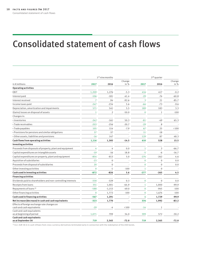# <span id="page-9-0"></span>Consolidated statement of cash flows

|                                                                          |                | 1 <sup>st</sup> nine months |                |              | 3rd quarter  |                |
|--------------------------------------------------------------------------|----------------|-----------------------------|----------------|--------------|--------------|----------------|
| in $\epsilon$ millions                                                   | 2017           | 2016                        | Change<br>in % | 2017         | 2016         | Change<br>in % |
| <b>Operating activities</b>                                              |                |                             |                |              |              |                |
| EBIT                                                                     | 1,209          | 1,276                       | $-5.3$         | 416          | 417          | $-0.2$         |
| Interest paid                                                            | $-106$         | $-181$                      | $-41.4$        | $-29$        | $-74$        | $-60.8$        |
| Interest received                                                        | $\overline{7}$ | 94                          | $-92.6$        | 3            | 21           | $-85.7$        |
| Income taxes paid                                                        | $-247$         | $-234$                      | 5.6            | $-66$        | $-73$        | $-9.6$         |
| Depreciation, amortization and impairments                               | 571            | 541                         | 5.5            | 189          | 183          | 3.3            |
| (Gains) losses on disposal of assets                                     | $\mathbf{1}$   | $\overline{2}$              | $-50.0$        | $\mathbf 0$  | $1\,$        | $-100$         |
| Changes in:                                                              |                |                             |                |              |              |                |
| · Inventories                                                            | $-242$         | $-161$                      | 50.3           | $-81$        | $-49$        | 65.3           |
| • Trade receivables                                                      | $-203$         | $-256$                      | $-20.7$        | $-29$        | 8            |                |
| • Trade payables                                                         | 105            | 114                         | $-7.9$         | 67           | 25           | >100           |
| • Provisions for pensions and similar obligations                        | 37             | $-37$                       |                | 11           | $-18$        |                |
| · Other assets, liabilities and provisions                               | $-16$          | 147                         |                | 129          | 87           | 48.3           |
| Cash flows from operating activities                                     | 1,116          | 1,305                       | $-14.5$        | 610          | 528          | 15.5           |
| <b>Investing activities</b>                                              |                |                             |                |              |              |                |
| Proceeds from disposals of property, plant and equipment                 | 4              | $\overline{4}$              | 0.0            | $\mathbf{1}$ | 3            | $-66.7$        |
| Capital expenditures on intangible assets                                | $-19$          | $-16$                       | 18.8           | $-5$         | $-6$         | $-16.7$        |
| Capital expenditures on property, plant and equipment                    | $-854$         | $-813$                      | 5.0            | $-274$       | $-262$       | 4.6            |
| Aquisition of subsidiaries                                               | $-23$          | $\mathbf{0}$                |                | $\mathbf{0}$ | $\Omega$     | 0.0            |
| Proceeds from disposal of subsidiaries                                   | 20             | $\Omega$                    |                | $\mathbf{0}$ | $\Omega$     | 0.0            |
| Other investing activities                                               | $\overline{0}$ | $-1$                        | $-100$         | $\mathbf{1}$ | $\mathbf 0$  |                |
| Cash used in investing activities                                        | $-872$         | $-826$                      | 5.6            | $-277$       | $-265$       | 4.5            |
| <b>Financing activities</b>                                              |                |                             |                |              |              |                |
| Dividends paid to shareholders and non-controlling interests             | $-330$         | $-329$                      | 0.3            | $\mathbf 0$  | $\Omega$     | 0.0            |
| Receipts from loans                                                      | 351            | 1,001                       | $-64.9$        | $\mathbf{1}$ | 1,000        | -99.9          |
| Repayments of loans <sup>1)</sup>                                        | $-588$         | $-1,153$                    | $-49.0$        | $\mathbf{0}$ | $-945$       | $-100$         |
| Other financing activities                                               | $\overline{0}$ | 1,772                       | $-100$         | $\mathbf 0$  | 1,674        | $-100$         |
| Cash used in financing activities                                        | -567           | 1,291                       |                | $\mathbf{1}$ | 1,729        | -99.9          |
| Net increase (decrease) in cash and cash equivalents                     | $-323$         | 1,770                       |                | 334          | 1,992        | $-83.2$        |
| Effects of foreign exchange rate changes on<br>cash and cash equivalents | $-29$          | -4                          | >100           | $-14$        | $\mathbf{1}$ |                |
| Cash and cash equivalents<br>as at beginning of period                   | 1,071          | 799                         | 34.0           | 399          | 572          | $-30.2$        |
| Cash and cash equivalents<br>as at September 30                          | 719            | 2,565                       | $-72.0$        | 719          | 2,565        | $-72.0$        |

 $1)$  Incl. EUR 38 m in cash inflows from cross-currency derivatives terminated early in connection with the redemption of the USD bonds.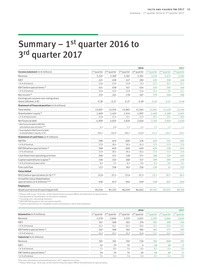# <span id="page-10-0"></span>Summary  $-1$ <sup>st</sup> quarter 2016 to 3rd quarter 2017

| $1st$ quarter $2nd$ quarter $3rd$ quarter $4th$ quarter $1st$ quarter $2nd$ quarter<br>3rd quarter<br>Income statement (in $\epsilon$ millions)<br>Revenue<br>3,343<br>3,369<br>3,265<br>3,361<br>3,574<br>3,472<br>3,434<br>421<br>438<br>417<br>280<br>435<br>358<br>416<br>• in % of revenue<br>12.6<br>13.0<br>12.8<br>8.3<br>12.2<br>10.3<br>12.1<br>EBIT before special items <sup>1)</sup><br>421<br>438<br>424<br>435<br>345<br>416<br>417<br>• in % of revenue<br>12.6<br>12.8<br>12.6<br>12.2<br>9.9<br>13.0<br>12.1<br>306<br>253<br>241<br>178<br>187<br>279<br>206<br>Earnings per common non-voting share<br>$(basic/diluted, in \in)$<br>0.38<br>0.37<br>0.27<br>0.28<br>0.42<br>0.31<br>0.46<br>Statement of financial position (in $\epsilon$ millions)<br>12,607<br><b>Total assets</b><br>12,554<br>12,862<br>11,564<br>11,941<br>11,120<br>11,536<br>Shareholders' equity <sup>3)</sup><br>1,609<br>1,425<br>1,554<br>1,997<br>2,400<br>2,168<br>2,401<br>. in % of total assets<br>12.1<br>17.3<br>20.1<br>19.5<br>12.8<br>11.4<br>20.8<br>Net financial debt<br>4,909<br>4,874<br>2,876<br>2,636<br>2,956<br>2,742<br>2,620<br>Net financial debt to EBITDA<br>ratio before special items <sup>1)4)</sup><br>2.1<br>2.0<br>1.2<br>1.1<br>1.1<br>1.2<br>1.1<br>· Gearing Ratio (Net financial debt<br>to shareholders' equity, in %)<br>305.1<br>342.0<br>185.1<br>132.0<br>114.3<br>136.3<br>109.1<br>Statement of cash flows (in $\epsilon$ millions)<br><b>EBITDA</b><br>598<br>619<br>600<br>476<br>624<br>551<br>605<br>• in % of revenue<br>17.9<br>18.4<br>18.4<br>14.2<br>17.5<br>15.9<br>17.6<br>EBITDA before special items <sup>1)</sup><br>598<br>619<br>600<br>620<br>624<br>538<br>605<br>• in % of revenue<br>17.9<br>18.4<br>15.5<br>18.4<br>18.4<br>17.5<br>17.6<br>206<br>571<br>528<br>571<br>186<br>610<br>320<br>Capital expenditures (capex) <sup>5)</sup><br>318<br>243<br>268<br>317<br>299<br>295<br>279<br>• in % of revenue (capex ratio)<br>9.5<br>8.2<br>9.4<br>8.4<br>8.1<br>7.2<br>8.5<br>Free cash flow<br>328<br>263<br>333<br>$-112$<br>256<br>$-130$<br>41<br><b>Value Added</b><br>ROCE before special items (in %) $^{1)$ 4)<br>22.8<br>23.2<br>22.3<br>20.7<br>22.6<br>22.1<br>20.5<br>Schaeffler Value Added before<br>928<br>973<br>944<br>939<br>938<br>837<br>829<br><b>Employees</b><br>Headcount (at end of reporting period)<br>85,016<br>85,225<br>86,029<br>86,662<br>87,341<br>87,937<br>89,359 |                                                   |  | 2016 |  | 2017 |
|----------------------------------------------------------------------------------------------------------------------------------------------------------------------------------------------------------------------------------------------------------------------------------------------------------------------------------------------------------------------------------------------------------------------------------------------------------------------------------------------------------------------------------------------------------------------------------------------------------------------------------------------------------------------------------------------------------------------------------------------------------------------------------------------------------------------------------------------------------------------------------------------------------------------------------------------------------------------------------------------------------------------------------------------------------------------------------------------------------------------------------------------------------------------------------------------------------------------------------------------------------------------------------------------------------------------------------------------------------------------------------------------------------------------------------------------------------------------------------------------------------------------------------------------------------------------------------------------------------------------------------------------------------------------------------------------------------------------------------------------------------------------------------------------------------------------------------------------------------------------------------------------------------------------------------------------------------------------------------------------------------------------------------------------------------------------------------------------------------------------------------------------------------------------------------------------------------------------------------------------------------------------------------------------------------------------------------------------------------------------------------------------------------------------------------------------------------------------|---------------------------------------------------|--|------|--|------|
|                                                                                                                                                                                                                                                                                                                                                                                                                                                                                                                                                                                                                                                                                                                                                                                                                                                                                                                                                                                                                                                                                                                                                                                                                                                                                                                                                                                                                                                                                                                                                                                                                                                                                                                                                                                                                                                                                                                                                                                                                                                                                                                                                                                                                                                                                                                                                                                                                                                                      |                                                   |  |      |  |      |
|                                                                                                                                                                                                                                                                                                                                                                                                                                                                                                                                                                                                                                                                                                                                                                                                                                                                                                                                                                                                                                                                                                                                                                                                                                                                                                                                                                                                                                                                                                                                                                                                                                                                                                                                                                                                                                                                                                                                                                                                                                                                                                                                                                                                                                                                                                                                                                                                                                                                      |                                                   |  |      |  |      |
|                                                                                                                                                                                                                                                                                                                                                                                                                                                                                                                                                                                                                                                                                                                                                                                                                                                                                                                                                                                                                                                                                                                                                                                                                                                                                                                                                                                                                                                                                                                                                                                                                                                                                                                                                                                                                                                                                                                                                                                                                                                                                                                                                                                                                                                                                                                                                                                                                                                                      | EBIT                                              |  |      |  |      |
|                                                                                                                                                                                                                                                                                                                                                                                                                                                                                                                                                                                                                                                                                                                                                                                                                                                                                                                                                                                                                                                                                                                                                                                                                                                                                                                                                                                                                                                                                                                                                                                                                                                                                                                                                                                                                                                                                                                                                                                                                                                                                                                                                                                                                                                                                                                                                                                                                                                                      |                                                   |  |      |  |      |
|                                                                                                                                                                                                                                                                                                                                                                                                                                                                                                                                                                                                                                                                                                                                                                                                                                                                                                                                                                                                                                                                                                                                                                                                                                                                                                                                                                                                                                                                                                                                                                                                                                                                                                                                                                                                                                                                                                                                                                                                                                                                                                                                                                                                                                                                                                                                                                                                                                                                      |                                                   |  |      |  |      |
|                                                                                                                                                                                                                                                                                                                                                                                                                                                                                                                                                                                                                                                                                                                                                                                                                                                                                                                                                                                                                                                                                                                                                                                                                                                                                                                                                                                                                                                                                                                                                                                                                                                                                                                                                                                                                                                                                                                                                                                                                                                                                                                                                                                                                                                                                                                                                                                                                                                                      |                                                   |  |      |  |      |
|                                                                                                                                                                                                                                                                                                                                                                                                                                                                                                                                                                                                                                                                                                                                                                                                                                                                                                                                                                                                                                                                                                                                                                                                                                                                                                                                                                                                                                                                                                                                                                                                                                                                                                                                                                                                                                                                                                                                                                                                                                                                                                                                                                                                                                                                                                                                                                                                                                                                      | Net income $^{2)}$                                |  |      |  |      |
|                                                                                                                                                                                                                                                                                                                                                                                                                                                                                                                                                                                                                                                                                                                                                                                                                                                                                                                                                                                                                                                                                                                                                                                                                                                                                                                                                                                                                                                                                                                                                                                                                                                                                                                                                                                                                                                                                                                                                                                                                                                                                                                                                                                                                                                                                                                                                                                                                                                                      |                                                   |  |      |  |      |
|                                                                                                                                                                                                                                                                                                                                                                                                                                                                                                                                                                                                                                                                                                                                                                                                                                                                                                                                                                                                                                                                                                                                                                                                                                                                                                                                                                                                                                                                                                                                                                                                                                                                                                                                                                                                                                                                                                                                                                                                                                                                                                                                                                                                                                                                                                                                                                                                                                                                      |                                                   |  |      |  |      |
|                                                                                                                                                                                                                                                                                                                                                                                                                                                                                                                                                                                                                                                                                                                                                                                                                                                                                                                                                                                                                                                                                                                                                                                                                                                                                                                                                                                                                                                                                                                                                                                                                                                                                                                                                                                                                                                                                                                                                                                                                                                                                                                                                                                                                                                                                                                                                                                                                                                                      |                                                   |  |      |  |      |
|                                                                                                                                                                                                                                                                                                                                                                                                                                                                                                                                                                                                                                                                                                                                                                                                                                                                                                                                                                                                                                                                                                                                                                                                                                                                                                                                                                                                                                                                                                                                                                                                                                                                                                                                                                                                                                                                                                                                                                                                                                                                                                                                                                                                                                                                                                                                                                                                                                                                      |                                                   |  |      |  |      |
|                                                                                                                                                                                                                                                                                                                                                                                                                                                                                                                                                                                                                                                                                                                                                                                                                                                                                                                                                                                                                                                                                                                                                                                                                                                                                                                                                                                                                                                                                                                                                                                                                                                                                                                                                                                                                                                                                                                                                                                                                                                                                                                                                                                                                                                                                                                                                                                                                                                                      |                                                   |  |      |  |      |
|                                                                                                                                                                                                                                                                                                                                                                                                                                                                                                                                                                                                                                                                                                                                                                                                                                                                                                                                                                                                                                                                                                                                                                                                                                                                                                                                                                                                                                                                                                                                                                                                                                                                                                                                                                                                                                                                                                                                                                                                                                                                                                                                                                                                                                                                                                                                                                                                                                                                      |                                                   |  |      |  |      |
|                                                                                                                                                                                                                                                                                                                                                                                                                                                                                                                                                                                                                                                                                                                                                                                                                                                                                                                                                                                                                                                                                                                                                                                                                                                                                                                                                                                                                                                                                                                                                                                                                                                                                                                                                                                                                                                                                                                                                                                                                                                                                                                                                                                                                                                                                                                                                                                                                                                                      |                                                   |  |      |  |      |
|                                                                                                                                                                                                                                                                                                                                                                                                                                                                                                                                                                                                                                                                                                                                                                                                                                                                                                                                                                                                                                                                                                                                                                                                                                                                                                                                                                                                                                                                                                                                                                                                                                                                                                                                                                                                                                                                                                                                                                                                                                                                                                                                                                                                                                                                                                                                                                                                                                                                      |                                                   |  |      |  |      |
|                                                                                                                                                                                                                                                                                                                                                                                                                                                                                                                                                                                                                                                                                                                                                                                                                                                                                                                                                                                                                                                                                                                                                                                                                                                                                                                                                                                                                                                                                                                                                                                                                                                                                                                                                                                                                                                                                                                                                                                                                                                                                                                                                                                                                                                                                                                                                                                                                                                                      |                                                   |  |      |  |      |
|                                                                                                                                                                                                                                                                                                                                                                                                                                                                                                                                                                                                                                                                                                                                                                                                                                                                                                                                                                                                                                                                                                                                                                                                                                                                                                                                                                                                                                                                                                                                                                                                                                                                                                                                                                                                                                                                                                                                                                                                                                                                                                                                                                                                                                                                                                                                                                                                                                                                      |                                                   |  |      |  |      |
|                                                                                                                                                                                                                                                                                                                                                                                                                                                                                                                                                                                                                                                                                                                                                                                                                                                                                                                                                                                                                                                                                                                                                                                                                                                                                                                                                                                                                                                                                                                                                                                                                                                                                                                                                                                                                                                                                                                                                                                                                                                                                                                                                                                                                                                                                                                                                                                                                                                                      |                                                   |  |      |  |      |
|                                                                                                                                                                                                                                                                                                                                                                                                                                                                                                                                                                                                                                                                                                                                                                                                                                                                                                                                                                                                                                                                                                                                                                                                                                                                                                                                                                                                                                                                                                                                                                                                                                                                                                                                                                                                                                                                                                                                                                                                                                                                                                                                                                                                                                                                                                                                                                                                                                                                      |                                                   |  |      |  |      |
|                                                                                                                                                                                                                                                                                                                                                                                                                                                                                                                                                                                                                                                                                                                                                                                                                                                                                                                                                                                                                                                                                                                                                                                                                                                                                                                                                                                                                                                                                                                                                                                                                                                                                                                                                                                                                                                                                                                                                                                                                                                                                                                                                                                                                                                                                                                                                                                                                                                                      |                                                   |  |      |  |      |
|                                                                                                                                                                                                                                                                                                                                                                                                                                                                                                                                                                                                                                                                                                                                                                                                                                                                                                                                                                                                                                                                                                                                                                                                                                                                                                                                                                                                                                                                                                                                                                                                                                                                                                                                                                                                                                                                                                                                                                                                                                                                                                                                                                                                                                                                                                                                                                                                                                                                      | Cash flows from operating activities              |  |      |  |      |
|                                                                                                                                                                                                                                                                                                                                                                                                                                                                                                                                                                                                                                                                                                                                                                                                                                                                                                                                                                                                                                                                                                                                                                                                                                                                                                                                                                                                                                                                                                                                                                                                                                                                                                                                                                                                                                                                                                                                                                                                                                                                                                                                                                                                                                                                                                                                                                                                                                                                      |                                                   |  |      |  |      |
|                                                                                                                                                                                                                                                                                                                                                                                                                                                                                                                                                                                                                                                                                                                                                                                                                                                                                                                                                                                                                                                                                                                                                                                                                                                                                                                                                                                                                                                                                                                                                                                                                                                                                                                                                                                                                                                                                                                                                                                                                                                                                                                                                                                                                                                                                                                                                                                                                                                                      |                                                   |  |      |  |      |
|                                                                                                                                                                                                                                                                                                                                                                                                                                                                                                                                                                                                                                                                                                                                                                                                                                                                                                                                                                                                                                                                                                                                                                                                                                                                                                                                                                                                                                                                                                                                                                                                                                                                                                                                                                                                                                                                                                                                                                                                                                                                                                                                                                                                                                                                                                                                                                                                                                                                      |                                                   |  |      |  |      |
|                                                                                                                                                                                                                                                                                                                                                                                                                                                                                                                                                                                                                                                                                                                                                                                                                                                                                                                                                                                                                                                                                                                                                                                                                                                                                                                                                                                                                                                                                                                                                                                                                                                                                                                                                                                                                                                                                                                                                                                                                                                                                                                                                                                                                                                                                                                                                                                                                                                                      |                                                   |  |      |  |      |
|                                                                                                                                                                                                                                                                                                                                                                                                                                                                                                                                                                                                                                                                                                                                                                                                                                                                                                                                                                                                                                                                                                                                                                                                                                                                                                                                                                                                                                                                                                                                                                                                                                                                                                                                                                                                                                                                                                                                                                                                                                                                                                                                                                                                                                                                                                                                                                                                                                                                      |                                                   |  |      |  |      |
|                                                                                                                                                                                                                                                                                                                                                                                                                                                                                                                                                                                                                                                                                                                                                                                                                                                                                                                                                                                                                                                                                                                                                                                                                                                                                                                                                                                                                                                                                                                                                                                                                                                                                                                                                                                                                                                                                                                                                                                                                                                                                                                                                                                                                                                                                                                                                                                                                                                                      | special items (in $\in$ millions) <sup>1)4)</sup> |  |      |  |      |
|                                                                                                                                                                                                                                                                                                                                                                                                                                                                                                                                                                                                                                                                                                                                                                                                                                                                                                                                                                                                                                                                                                                                                                                                                                                                                                                                                                                                                                                                                                                                                                                                                                                                                                                                                                                                                                                                                                                                                                                                                                                                                                                                                                                                                                                                                                                                                                                                                                                                      |                                                   |  |      |  |      |
|                                                                                                                                                                                                                                                                                                                                                                                                                                                                                                                                                                                                                                                                                                                                                                                                                                                                                                                                                                                                                                                                                                                                                                                                                                                                                                                                                                                                                                                                                                                                                                                                                                                                                                                                                                                                                                                                                                                                                                                                                                                                                                                                                                                                                                                                                                                                                                                                                                                                      |                                                   |  |      |  |      |

<sup>1)</sup> Please refer to pp. 18 et seq. of the interim financial report 9M for the definition of special items.<br><sup>2)</sup> Attributable to shareholders of the parent company.

<sup>3)</sup> Including non-controlling interests.<br><sup>4)</sup> EBIT/EBITDA based on the last twelve months.

5) Capital expenditures on intangible assets and property, plant and equipment.

|                                         |       |                                                 |       | 2016  |       |                                                                                                 | 2017                    |
|-----------------------------------------|-------|-------------------------------------------------|-------|-------|-------|-------------------------------------------------------------------------------------------------|-------------------------|
| <b>Automotive</b> (in $\in$ millions)   |       | 1 <sup>st</sup> quarter 2 <sup>nd</sup> quarter |       |       |       | 3 <sup>rd</sup> quarter 4 <sup>th</sup> quarter 1 <sup>st</sup> quarter 2 <sup>nd</sup> quarter | 3 <sup>rd</sup> quarter |
| Revenue                                 | 2,578 | 2,604                                           | 2,525 | 2,631 | 2,791 | 2,664                                                                                           | 2,643                   |
| EBIT                                    | 367   | 368                                             | 362   | 276   | 367   | 290                                                                                             | 345                     |
| • in % of revenue                       | 14.2  | 14.1                                            | 14.3  | 10.5  | 13.1  | 10.9                                                                                            | 13.1                    |
| EBIT before special items <sup>1)</sup> | 367   | 368                                             | 362   | 384   | 367   | 277                                                                                             | 345                     |
| • in % of revenue                       | 14.2  | 14.1                                            | 14.3  | 14.6  | 13.1  | 10.4                                                                                            | 13.1                    |
| Industrial (in $\epsilon$ millions)     |       |                                                 |       |       |       |                                                                                                 |                         |
| Revenue                                 | 765   | 765                                             | 740   | 730   | 783   | 808                                                                                             | 791                     |
| EBIT                                    | 54    | 70                                              | 55    | 4     | 68    | 68                                                                                              | 71                      |
| • in % of revenue                       | 7.1   | 9.2                                             | 7.4   | 0.5   | 8.7   | 8.4                                                                                             | 9.0                     |
| EBIT before special items <sup>1)</sup> | 54    | 70                                              | 55    | 40    | 68    | 68                                                                                              | 71                      |
| • in % of revenue                       | 7.1   | 9.2                                             | 7.4   | 5.5   | 8.7   | 8.4                                                                                             | 9.0                     |

Prior year information presented based on 2017 segment structure.<br><sup>1)</sup> Please refer to pp. 18 et seq. of the interim financial report 9M for the definition of special items.